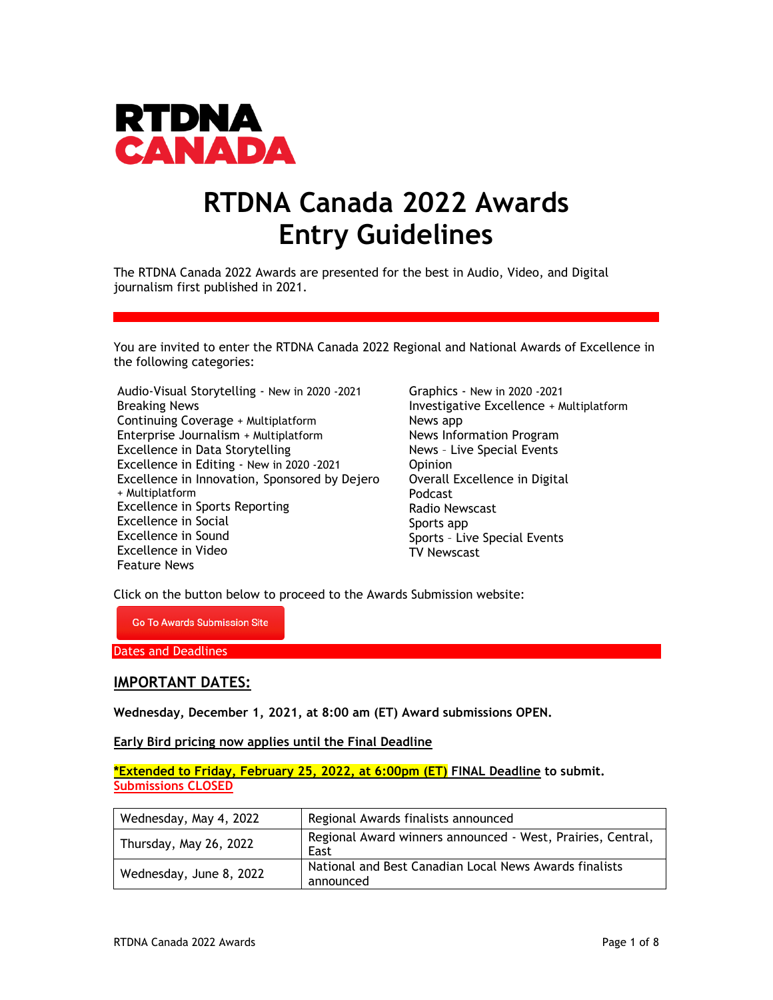

# **RTDNA Canada 2022 Awards Entry Guidelines**

The RTDNA Canada 2022 Awards are presented for the best in Audio, Video, and Digital journalism first published in 2021.

You are invited to enter the RTDNA Canada 2022 Regional and National Awards of Excellence in the following categories:

Audio-Visual Storytelling - New in 2020 -2021 Breaking News Continuing Coverage + Multiplatform Enterprise Journalism + Multiplatform Excellence in Data Storytelling Excellence in Editing - New in 2020 -2021 Excellence in Innovation, Sponsored by Dejero + Multiplatform Excellence in Sports Reporting Excellence in Social Excellence in Sound Excellence in Video Feature News

Graphics - New in 2020 -2021 Investigative Excellence + Multiplatform News app News Information Program News – Live Special Events **Opinion** Overall Excellence in Digital Podcast Radio Newscast Sports app Sports – Live Special Events TV Newscast

Click on the button below to proceed to the Awards Submission website:

**Go To Awards Submission Site** 

Dates and Deadlines

# **IMPORTANT DATES:**

**Wednesday, December 1, 2021, at 8:00 am (ET) Award submissions OPEN.** 

**Early Bird pricing now applies until the Final Deadline** 

**\*Extended to Friday, February 25, 2022, at 6:00pm (ET) FINAL Deadline to submit. Submissions CLOSED**

| Wednesday, May 4, 2022  | Regional Awards finalists announced                                 |  |
|-------------------------|---------------------------------------------------------------------|--|
| Thursday, May 26, 2022  | Regional Award winners announced - West, Prairies, Central,<br>East |  |
| Wednesday, June 8, 2022 | National and Best Canadian Local News Awards finalists<br>announced |  |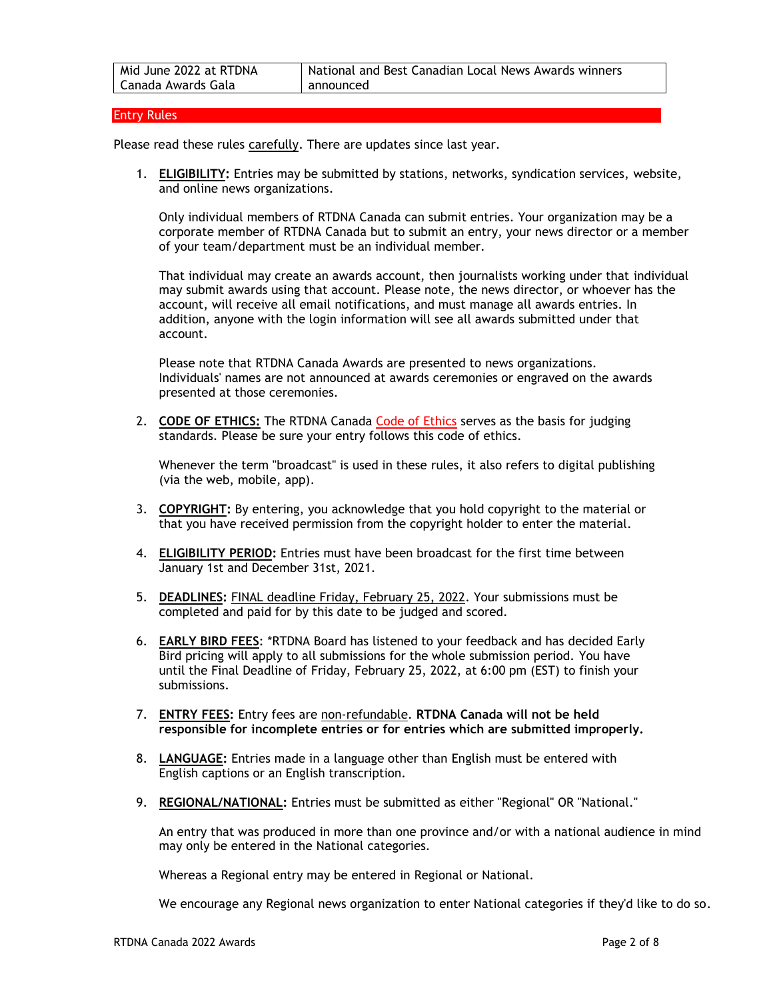#### Entry Rules

Please read these rules carefully. There are updates since last year.

1. **ELIGIBILITY:** Entries may be submitted by stations, networks, syndication services, website, and online news organizations.

Only individual members of RTDNA Canada can submit entries. Your organization may be a corporate member of RTDNA Canada but to submit an entry, your news director or a member of your team/department must be an individual member.

That individual may create an awards account, then journalists working under that individual may submit awards using that account. Please note, the news director, or whoever has the account, will receive all email notifications, and must manage all awards entries. In addition, anyone with the login information will see all awards submitted under that account.

Please note that RTDNA Canada Awards are presented to news organizations. Individuals' names are not announced at awards ceremonies or engraved on the awards presented at those ceremonies.

2. **[CODE OF ETHICS:](http://www.rtdnacanada.com/code-of-ethics)** The RTDNA Canada [Code of Ethics](https://rtdnacanada.com/wp-content/uploads/2021/02/2016RTDNA_Code_Poster_EN.pdf) serves as the basis for judging standards. Please be sure your entry follows this code of ethics.

Whenever the term "broadcast" is used in these rules, it also refers to digital publishing (via the web, mobile, app).

- 3. **COPYRIGHT:** By entering, you acknowledge that you hold copyright to the material or that you have received permission from the copyright holder to enter the material.
- 4. **ELIGIBILITY PERIOD:** Entries must have been broadcast for the first time between January 1st and December 31st, 2021.
- 5. **DEADLINES:** FINAL deadline Friday, February 25, 2022. Your submissions must be completed and paid for by this date to be judged and scored.
- 6. **EARLY BIRD FEES**: \*RTDNA Board has listened to your feedback and has decided Early Bird pricing will apply to all submissions for the whole submission period. You have until the Final Deadline of Friday, February 25, 2022, at 6:00 pm (EST) to finish your submissions.
- 7. **ENTRY FEES:** Entry fees are non-refundable. **RTDNA Canada will not be held responsible for incomplete entries or for entries which are submitted improperly.**
- 8. **LANGUAGE:** Entries made in a language other than English must be entered with English captions or an English transcription.
- 9. **REGIONAL/NATIONAL:** Entries must be submitted as either "Regional" OR "National."

An entry that was produced in more than one province and/or with a national audience in mind may only be entered in the National categories.

Whereas a Regional entry may be entered in Regional or National.

We encourage any Regional news organization to enter National categories if they'd like to do so.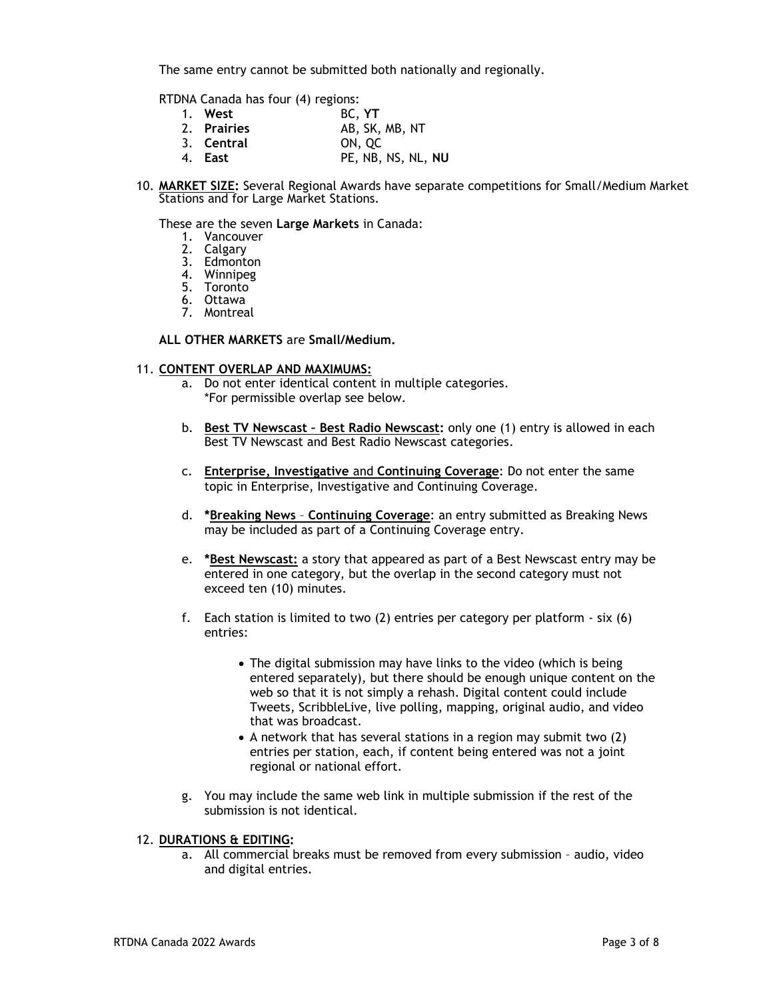The same entry cannot be submitted both nationally and regionally.

RTDNA Canada has four (4) regions:

| 1. West     | BC. YT             |
|-------------|--------------------|
| 2. Prairies | AB, SK, MB, NT     |
| 3. Central  | ON, OC             |
| 4. East     | PE, NB, NS, NL, NU |

10. **MARKET SIZE:** Several Regional Awards have separate competitions for Small/Medium Market Stations and for Large Market Stations.

These are the seven **Large Markets** in Canada:

- 1. Vancouver
- 2. Calgary
- 3. Edmonton
- 4. Winnipeg
- 5. Toronto
- 6. Ottawa
- 7. Montreal

## **ALL OTHER MARKETS** are **Small/Medium.**

## 11. **CONTENT OVERLAP AND MAXIMUMS:**

- a. Do not enter identical content in multiple categories. \*For permissible overlap see below.
- b. **Best TV Newscast – Best Radio Newscast:** only one (1) entry is allowed in each Best TV Newscast and Best Radio Newscast categories.
- c. **Enterprise, Investigative** and **Continuing Coverage**: Do not enter the same topic in Enterprise, Investigative and Continuing Coverage.
- d. **\*Breaking News Continuing Coverage**: an entry submitted as Breaking News may be included as part of a Continuing Coverage entry.
- e. **\*Best Newscast:** a story that appeared as part of a Best Newscast entry may be entered in one category, but the overlap in the second category must not exceed ten (10) minutes.
- f. Each station is limited to two (2) entries per category per platform six (6) entries:
	- The digital submission may have links to the video (which is being entered separately), but there should be enough unique content on the web so that it is not simply a rehash. Digital content could include Tweets, ScribbleLive, live polling, mapping, original audio, and video that was broadcast.
	- A network that has several stations in a region may submit two (2) entries per station, each, if content being entered was not a joint regional or national effort.
- g. You may include the same web link in multiple submission if the rest of the submission is not identical.

## 12. **DURATIONS & EDITING:**

a. All commercial breaks must be removed from every submission – audio, video and digital entries.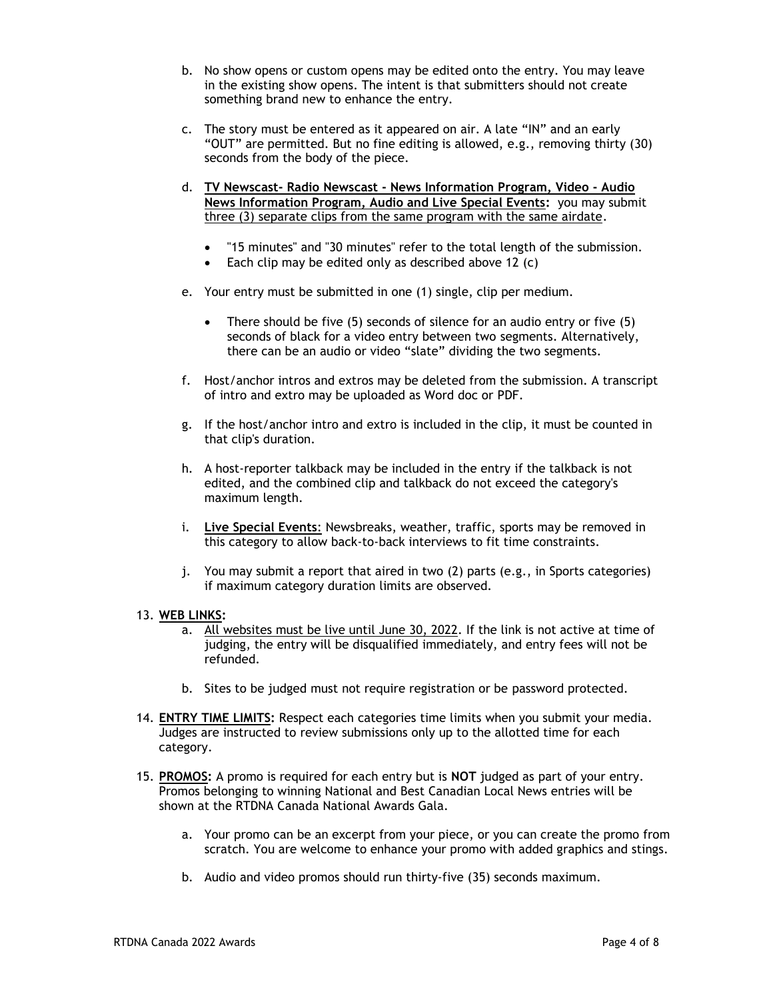- b. No show opens or custom opens may be edited onto the entry. You may leave in the existing show opens. The intent is that submitters should not create something brand new to enhance the entry.
- c. The story must be entered as it appeared on air. A late "IN" and an early "OUT" are permitted. But no fine editing is allowed, e.g., removing thirty (30) seconds from the body of the piece.
- d. **TV Newscast- Radio Newscast - News Information Program, Video - Audio News Information Program, Audio and Live Special Events:** you may submit three (3) separate clips from the same program with the same airdate.
	- "15 minutes" and "30 minutes" refer to the total length of the submission.
	- Each clip may be edited only as described above 12 (c)
- e. Your entry must be submitted in one (1) single, clip per medium.
	- There should be five (5) seconds of silence for an audio entry or five (5) seconds of black for a video entry between two segments. Alternatively, there can be an audio or video "slate" dividing the two segments.
- f. Host/anchor intros and extros may be deleted from the submission. A transcript of intro and extro may be uploaded as Word doc or PDF.
- g. If the host/anchor intro and extro is included in the clip, it must be counted in that clip's duration.
- h. A host-reporter talkback may be included in the entry if the talkback is not edited, and the combined clip and talkback do not exceed the category's maximum length.
- i. **Live Special Events**: Newsbreaks, weather, traffic, sports may be removed in this category to allow back-to-back interviews to fit time constraints.
- j. You may submit a report that aired in two (2) parts (e.g., in Sports categories) if maximum category duration limits are observed.

# 13. **WEB LINKS:**

- a. All websites must be live until June 30, 2022. If the link is not active at time of judging, the entry will be disqualified immediately, and entry fees will not be refunded.
- b. Sites to be judged must not require registration or be password protected.
- 14. **ENTRY TIME LIMITS:** Respect each categories time limits when you submit your media. Judges are instructed to review submissions only up to the allotted time for each category.
- 15. **PROMOS:** A promo is required for each entry but is **NOT** judged as part of your entry. Promos belonging to winning National and Best Canadian Local News entries will be shown at the RTDNA Canada National Awards Gala.
	- a. Your promo can be an excerpt from your piece, or you can create the promo from scratch. You are welcome to enhance your promo with added graphics and stings.
	- b. Audio and video promos should run thirty-five (35) seconds maximum.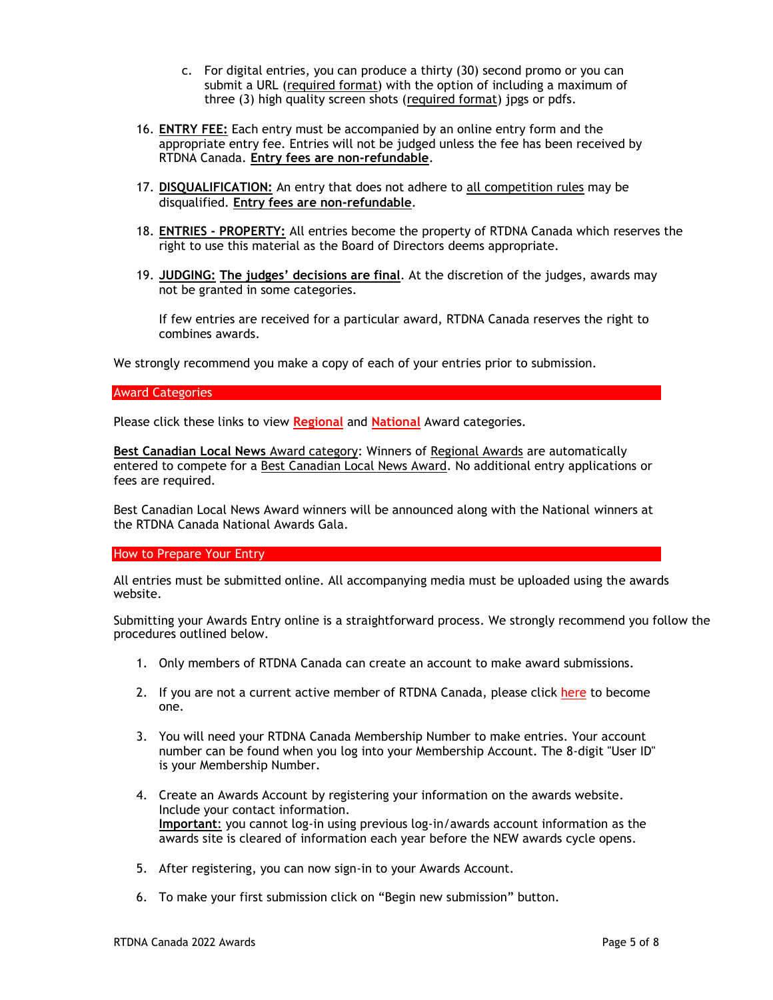- c. For digital entries, you can produce a thirty (30) second promo or you can submit a URL (required format) with the option of including a maximum of three (3) high quality screen shots (required format) jpgs or pdfs.
- 16. **ENTRY FEE:** Each entry must be accompanied by an online entry form and the appropriate entry fee. Entries will not be judged unless the fee has been received by RTDNA Canada. **Entry fees are non-refundable**.
- 17. **DISQUALIFICATION:** An entry that does not adhere to all competition rules may be disqualified. **Entry fees are non-refundable**.
- 18. **ENTRIES - PROPERTY:** All entries become the property of RTDNA Canada which reserves the right to use this material as the Board of Directors deems appropriate.
- 19. **JUDGING: The judges' decisions are final**. At the discretion of the judges, awards may not be granted in some categories.

If few entries are received for a particular award, RTDNA Canada reserves the right to combines awards.

We strongly recommend you make a copy of each of your entries prior to submission.

## Award Categories

Please click these links to view **[Regional](https://rtdnacanada.com/wp-content/uploads/2022/02/RTDNA-Canada-REGIONAL-Awards-Summary_-2022_2_1.pdf)** and **[National](https://rtdnacanada.com/wp-content/uploads/2022/02/RTDNA-NATIONAL-Awards-Summary-2022_2_1.pdf)** Award categories.

**Best Canadian Local News** Award category: Winners of Regional Awards are automatically entered to compete for a Best Canadian Local News Award. No additional entry applications or fees are required.

Best Canadian Local News Award winners will be announced along with the National winners at the RTDNA Canada National Awards Gala.

## How to Prepare Your Entry

All entries must be submitted online. All accompanying media must be uploaded using the awards website.

Submitting your Awards Entry online is a straightforward process. We strongly recommend you follow the procedures outlined below.

- 1. Only members of RTDNA Canada can create an account to make award submissions.
- 2. If you are not a current active member of RTDNA Canada, please click [here](https://rtdna.wildapricot.org/join-us) to become one.
- 3. You will need your RTDNA Canada Membership Number to make entries. Your account number can be found when you log into your Membership Account. The 8-digit "User ID" is your Membership Number.
- 4. Create an Awards Account by registering your information on the awards website. Include your contact information. **Important**: you cannot log-in using previous log-in/awards account information as the awards site is cleared of information each year before the NEW awards cycle opens.
- 5. After registering, you can now sign-in to your Awards Account.
- 6. To make your first submission click on "Begin new submission" button.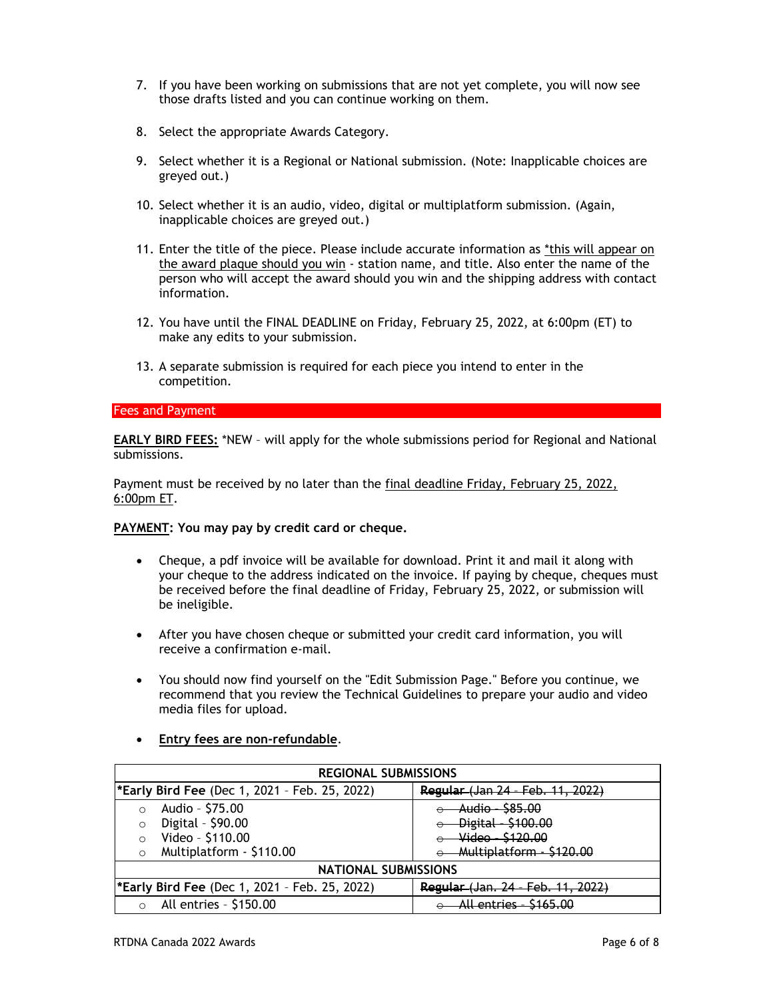- 7. If you have been working on submissions that are not yet complete, you will now see those drafts listed and you can continue working on them.
- 8. Select the appropriate Awards Category.
- 9. Select whether it is a Regional or National submission. (Note: Inapplicable choices are greyed out.)
- 10. Select whether it is an audio, video, digital or multiplatform submission. (Again, inapplicable choices are greyed out.)
- 11. Enter the title of the piece. Please include accurate information as \*this will appear on the award plaque should you win - station name, and title. Also enter the name of the person who will accept the award should you win and the shipping address with contact information.
- 12. You have until the FINAL DEADLINE on Friday, February 25, 2022, at 6:00pm (ET) to make any edits to your submission.
- 13. A separate submission is required for each piece you intend to enter in the competition.

#### Fees and Payment

**EARLY BIRD FEES:** \*NEW – will apply for the whole submissions period for Regional and National submissions.

Payment must be received by no later than the final deadline Friday, February 25, 2022, 6:00pm ET.

#### **PAYMENT: You may pay by credit card or cheque.**

- Cheque, a pdf invoice will be available for download. Print it and mail it along with your cheque to the address indicated on the invoice. If paying by cheque, cheques must be received before the final deadline of Friday, February 25, 2022, or submission will be ineligible.
- After you have chosen cheque or submitted your credit card information, you will receive a confirmation e-mail.
- You should now find yourself on the "Edit Submission Page." Before you continue, we recommend that you review the Technical Guidelines to prepare your audio and video media files for upload.

# • **Entry fees are non-refundable**.

| <b>REGIONAL SUBMISSIONS</b> |                                                     |                                              |  |  |
|-----------------------------|-----------------------------------------------------|----------------------------------------------|--|--|
|                             | <b>Early Bird Fee</b> (Dec 1, 2021 - Feb. 25, 2022) | Regular (Jan 24 - Feb. 11.<br><u>. 2022)</u> |  |  |
|                             | Audio - \$75.00                                     | Audio - \$85.00                              |  |  |
| $\Omega$                    | Digital - \$90.00                                   | Digital - \$100.00                           |  |  |
|                             | Video - \$110.00                                    | Video - \$120.00                             |  |  |
| $\Omega$                    | Multiplatform - \$110.00                            | Multiplatform - \$120.00                     |  |  |
| <b>NATIONAL SUBMISSIONS</b> |                                                     |                                              |  |  |
|                             | <b>Early Bird Fee</b> (Dec 1, 2021 - Feb. 25, 2022) | Regular (Jan. 24 - Feb.                      |  |  |
|                             | All entries - \$150.00                              | <b>C16500</b><br>All antriac                 |  |  |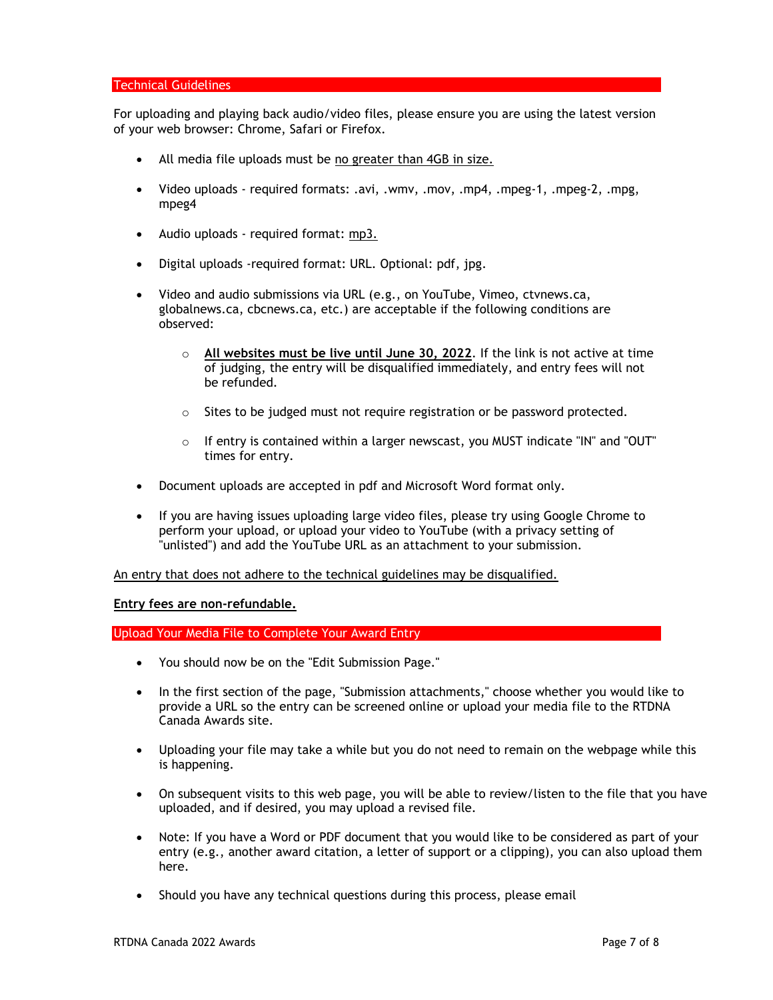## Technical Guidelines

For uploading and playing back audio/video files, please ensure you are using the latest version of your web browser: Chrome, Safari or Firefox.

- All media file uploads must be no greater than 4GB in size.
- Video uploads required formats: .avi, .wmv, .mov, .mp4, .mpeg-1, .mpeg-2, .mpg, mpeg4
- Audio uploads required format: mp3.
- Digital uploads -required format: URL. Optional: pdf, jpg.
- Video and audio submissions via URL (e.g., on YouTube, Vimeo, ctvnews.ca, globalnews.ca, cbcnews.ca, etc.) are acceptable if the following conditions are observed:
	- o **All websites must be live until June 30, 2022**. If the link is not active at time of judging, the entry will be disqualified immediately, and entry fees will not be refunded.
	- $\circ$  Sites to be judged must not require registration or be password protected.
	- $\circ$  If entry is contained within a larger newscast, you MUST indicate "IN" and "OUT" times for entry.
- Document uploads are accepted in pdf and Microsoft Word format only.
- If you are having issues uploading large video files, please try using Google Chrome to perform your upload, or upload your video to YouTube (with a privacy setting of "unlisted") and add the YouTube URL as an attachment to your submission.

An entry that does not adhere to the technical guidelines may be disqualified.

**Entry fees are non-refundable.**

Upload Your Media File to Complete Your Award Entry

- You should now be on the "Edit Submission Page."
- In the first section of the page, "Submission attachments," choose whether you would like to provide a URL so the entry can be screened online or upload your media file to the RTDNA Canada Awards site.
- Uploading your file may take a while but you do not need to remain on the webpage while this is happening.
- On subsequent visits to this web page, you will be able to review/listen to the file that you have uploaded, and if desired, you may upload a revised file.
- Note: If you have a Word or PDF document that you would like to be considered as part of your entry (e.g., another award citation, a letter of support or a clipping), you can also upload them here.
- Should you have any technical questions during this process, please email